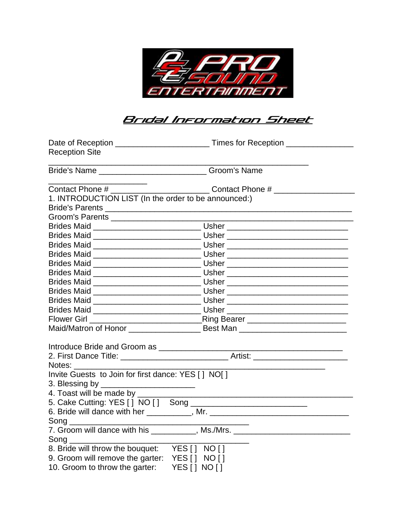

## <u> Bridal Information Sheet</u>

| <b>Reception Site</b>                                      |                                                                                  |
|------------------------------------------------------------|----------------------------------------------------------------------------------|
| Bride's Name ________________________________Groom's Name  |                                                                                  |
|                                                            |                                                                                  |
| 1. INTRODUCTION LIST (In the order to be announced:)       |                                                                                  |
|                                                            |                                                                                  |
|                                                            |                                                                                  |
|                                                            |                                                                                  |
|                                                            |                                                                                  |
|                                                            |                                                                                  |
|                                                            |                                                                                  |
|                                                            |                                                                                  |
|                                                            |                                                                                  |
|                                                            |                                                                                  |
|                                                            |                                                                                  |
|                                                            |                                                                                  |
|                                                            |                                                                                  |
|                                                            |                                                                                  |
|                                                            |                                                                                  |
|                                                            |                                                                                  |
|                                                            | 2. First Dance Title: __________________________________Artist: ________________ |
| Notes: Notes:                                              |                                                                                  |
| Invite Guests to Join for first dance: YES [ ] NO[ ]       |                                                                                  |
| 3. Blessing by _____                                       |                                                                                  |
| 4. Toast will be made by ______                            |                                                                                  |
|                                                            |                                                                                  |
|                                                            |                                                                                  |
|                                                            |                                                                                  |
|                                                            | 7. Groom will dance with his ___________, Ms./Mrs. _____________________________ |
| $\mathsf{Song} \_\_\_\_\_\_\_\_\_\_\_\_\_\_\_\_\_\_\_\_\_$ |                                                                                  |
| 8. Bride will throw the bouquet: YES [] NO []              |                                                                                  |
| 9. Groom will remove the garter: YES [ ] NO [ ]            |                                                                                  |
| 10. Groom to throw the garter:                             | YES[] NO[]                                                                       |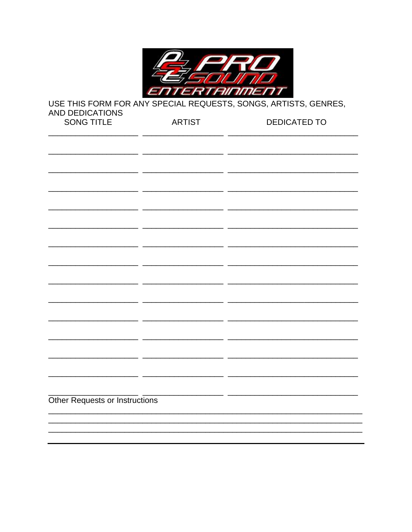

USE THIS FORM FOR ANY SPECIAL REQUESTS, SONGS, ARTISTS, GENRES, **AND DEDICATIONS** DEDICATED TO SONG TITLE **ARTIST** 

| <b>OUND LITLE</b>              | <b>AITIN</b> | <u>DLDIUATLD TU</u> |
|--------------------------------|--------------|---------------------|
|                                |              |                     |
|                                |              |                     |
|                                |              |                     |
|                                |              |                     |
|                                |              |                     |
|                                |              |                     |
|                                |              |                     |
|                                |              |                     |
|                                |              |                     |
|                                |              |                     |
|                                |              |                     |
|                                |              |                     |
|                                |              |                     |
|                                |              |                     |
|                                |              |                     |
|                                |              |                     |
|                                |              |                     |
|                                |              |                     |
|                                |              |                     |
|                                |              |                     |
|                                |              |                     |
|                                |              |                     |
|                                |              |                     |
|                                |              |                     |
|                                |              |                     |
|                                |              |                     |
|                                |              |                     |
| Other Requests or Instructions |              |                     |
|                                |              |                     |
|                                |              |                     |